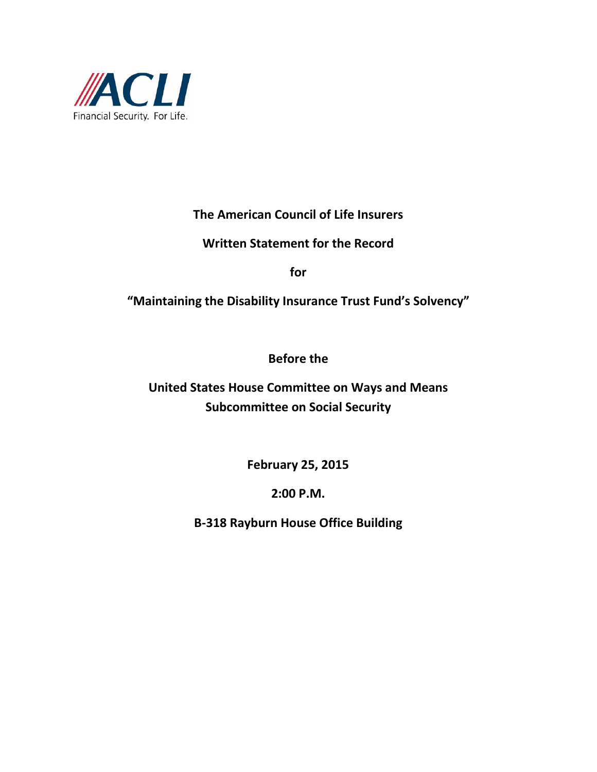

**The American Council of Life Insurers**

**Written Statement for the Record**

**for**

**"Maintaining the Disability Insurance Trust Fund's Solvency"**

**Before the**

**United States House Committee on Ways and Means Subcommittee on Social Security**

**February 25, 2015**

**2:00 P.M.**

**B-318 Rayburn House Office Building**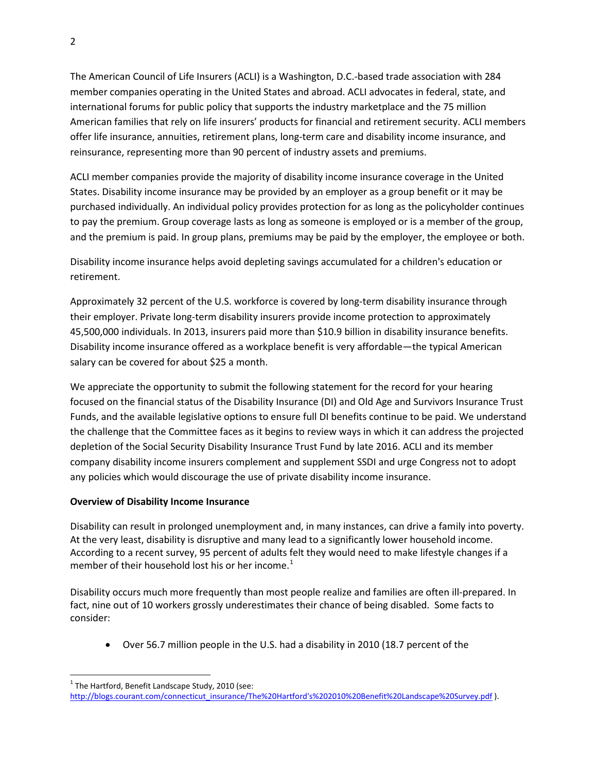The American Council of Life Insurers (ACLI) is a Washington, D.C.-based trade association with 284 member companies operating in the United States and abroad. ACLI advocates in federal, state, and international forums for public policy that supports the industry marketplace and the 75 million American families that rely on life insurers' products for financial and retirement security. ACLI members offer life insurance, annuities, retirement plans, long-term care and disability income insurance, and reinsurance, representing more than 90 percent of industry assets and premiums.

ACLI member companies provide the majority of disability income insurance coverage in the United States. Disability income insurance may be provided by an employer as a group benefit or it may be purchased individually. An individual policy provides protection for as long as the policyholder continues to pay the premium. Group coverage lasts as long as someone is employed or is a member of the group, and the premium is paid. In group plans, premiums may be paid by the employer, the employee or both.

Disability income insurance helps avoid depleting savings accumulated for a children's education or retirement.

Approximately 32 percent of the U.S. workforce is covered by long-term disability insurance through their employer. Private long-term disability insurers provide income protection to approximately 45,500,000 individuals. In 2013, insurers paid more than \$10.9 billion in disability insurance benefits. Disability income insurance offered as a workplace benefit is very affordable—the typical American salary can be covered for about \$25 a month.

We appreciate the opportunity to submit the following statement for the record for your hearing focused on the financial status of the Disability Insurance (DI) and Old Age and Survivors Insurance Trust Funds, and the available legislative options to ensure full DI benefits continue to be paid. We understand the challenge that the Committee faces as it begins to review ways in which it can address the projected depletion of the Social Security Disability Insurance Trust Fund by late 2016. ACLI and its member company disability income insurers complement and supplement SSDI and urge Congress not to adopt any policies which would discourage the use of private disability income insurance.

## **Overview of Disability Income Insurance**

Disability can result in prolonged unemployment and, in many instances, can drive a family into poverty. At the very least, disability is disruptive and many lead to a significantly lower household income. According to a recent survey, 95 percent of adults felt they would need to make lifestyle changes if a member of their household lost his or her income.<sup>[1](#page-1-0)</sup>

Disability occurs much more frequently than most people realize and families are often ill-prepared. In fact, nine out of 10 workers grossly underestimates their chance of being disabled. Some facts to consider:

• Over 56.7 million people in the U.S. had a disability in 2010 (18.7 percent of the

<span id="page-1-0"></span> $1$  The Hartford, Benefit Landscape Study, 2010 (see: [http://blogs.courant.com/connecticut\\_insurance/The%20Hartford's%202010%20Benefit%20Landscape%20Survey.pdf](http://blogs.courant.com/connecticut_insurance/The%20Hartford) ).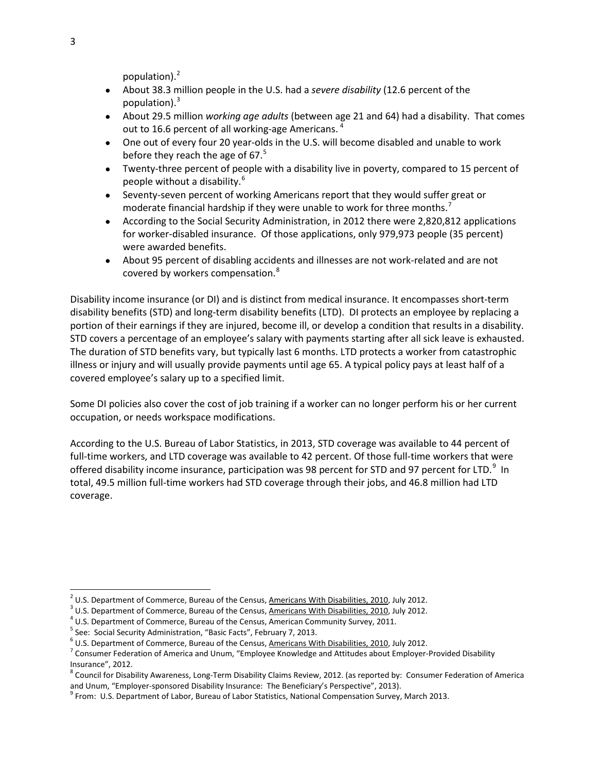population).<sup>[2](#page-2-0)</sup>

- About 38.3 million people in the U.S. had a *severe disability* (12.6 percent of the population). $3$
- About 29.5 million *working age adults* (between age 21 and 64) had a disability. That comes out to 16.6 percent of all working-age Americans.<sup>[4](#page-2-2)</sup>
- One out of every four 20 year-olds in the U.S. will become disabled and unable to work before they reach the age of 67. $5$
- Twenty-three percent of people with a disability live in poverty, compared to 15 percent of people without a disability.[6](#page-2-4)
- Seventy-seven percent of working Americans report that they would suffer great or moderate financial hardship if they were unable to work for three months.<sup>[7](#page-2-5)</sup>
- According to the Social Security Administration, in 2012 there were 2,820,812 applications for worker-disabled insurance. Of those applications, only 979,973 people (35 percent) were awarded benefits.
- About 95 percent of disabling accidents and illnesses are not work-related and are not covered by workers compensation.<sup>[8](#page-2-6)</sup>

Disability income insurance (or DI) and is distinct from medical insurance. It encompasses short-term disability benefits (STD) and long-term disability benefits (LTD). DI protects an employee by replacing a portion of their earnings if they are injured, become ill, or develop a condition that results in a disability. STD covers a percentage of an employee's salary with payments starting after all sick leave is exhausted. The duration of STD benefits vary, but typically last 6 months. LTD protects a worker from catastrophic illness or injury and will usually provide payments until age 65. A typical policy pays at least half of a covered employee's salary up to a specified limit.

Some DI policies also cover the cost of job training if a worker can no longer perform his or her current occupation, or needs workspace modifications.

According to the U.S. Bureau of Labor Statistics, in 2013, STD coverage was available to 44 percent of full-time workers, and LTD coverage was available to 42 percent. Of those full-time workers that were offered disability income insurance, participation was [9](#page-2-7)8 percent for STD and 97 percent for LTD.<sup>9</sup> In total, 49.5 million full-time workers had STD coverage through their jobs, and 46.8 million had LTD coverage.

<span id="page-2-1"></span><span id="page-2-0"></span><sup>&</sup>lt;sup>2</sup> U.S. Department of Commerce, Bureau of the Census, <u>Americans With Disabilities, 2010</u>, July 2012.<br><sup>3</sup> U.S. Department of Commerce, Bureau of the Census, <u>Americans With Disabilities, 2010</u>, July 2012.<br><sup>4</sup> U.S. Depart

<span id="page-2-2"></span>

<span id="page-2-3"></span><sup>&</sup>lt;sup>5</sup> See: Social Security Administration, "Basic Facts", February 7, 2013.<br><sup>6</sup> U.S. Department of Commerce, Bureau of the Census, <u>Americans With Disabilities, 2010</u>, July 2012.

<span id="page-2-5"></span><span id="page-2-4"></span><sup>&</sup>lt;sup>7</sup> Consumer Federation of America and Unum, "Employee Knowledge and Attitudes about Employer-Provided Disability Insurance", 2012.

<span id="page-2-6"></span><sup>&</sup>lt;sup>8</sup> Council for Disability Awareness, Long-Term Disability Claims Review, 2012. (as reported by: Consumer Federation of America and Unum, "Employer-sponsored Disability Insurance: The Beneficiary's Perspective", 2013).

<span id="page-2-7"></span><sup>&</sup>lt;sup>9</sup> From: U.S. Department of Labor, Bureau of Labor Statistics, National Compensation Survey, March 2013.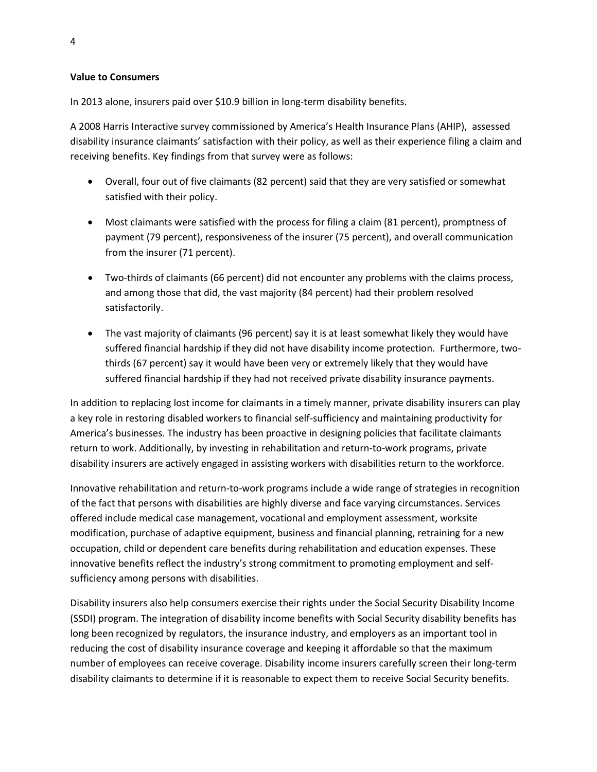## **Value to Consumers**

In 2013 alone, insurers paid over \$10.9 billion in long-term disability benefits.

A 2008 Harris Interactive survey commissioned by America's Health Insurance Plans (AHIP), assessed disability insurance claimants' satisfaction with their policy, as well as their experience filing a claim and receiving benefits. Key findings from that survey were as follows:

- Overall, four out of five claimants (82 percent) said that they are very satisfied or somewhat satisfied with their policy.
- Most claimants were satisfied with the process for filing a claim (81 percent), promptness of payment (79 percent), responsiveness of the insurer (75 percent), and overall communication from the insurer (71 percent).
- Two-thirds of claimants (66 percent) did not encounter any problems with the claims process, and among those that did, the vast majority (84 percent) had their problem resolved satisfactorily.
- The vast majority of claimants (96 percent) say it is at least somewhat likely they would have suffered financial hardship if they did not have disability income protection. Furthermore, twothirds (67 percent) say it would have been very or extremely likely that they would have suffered financial hardship if they had not received private disability insurance payments.

In addition to replacing lost income for claimants in a timely manner, private disability insurers can play a key role in restoring disabled workers to financial self-sufficiency and maintaining productivity for America's businesses. The industry has been proactive in designing policies that facilitate claimants return to work. Additionally, by investing in rehabilitation and return-to-work programs, private disability insurers are actively engaged in assisting workers with disabilities return to the workforce.

Innovative rehabilitation and return-to-work programs include a wide range of strategies in recognition of the fact that persons with disabilities are highly diverse and face varying circumstances. Services offered include medical case management, vocational and employment assessment, worksite modification, purchase of adaptive equipment, business and financial planning, retraining for a new occupation, child or dependent care benefits during rehabilitation and education expenses. These innovative benefits reflect the industry's strong commitment to promoting employment and selfsufficiency among persons with disabilities.

Disability insurers also help consumers exercise their rights under the Social Security Disability Income (SSDI) program. The integration of disability income benefits with Social Security disability benefits has long been recognized by regulators, the insurance industry, and employers as an important tool in reducing the cost of disability insurance coverage and keeping it affordable so that the maximum number of employees can receive coverage. Disability income insurers carefully screen their long-term disability claimants to determine if it is reasonable to expect them to receive Social Security benefits.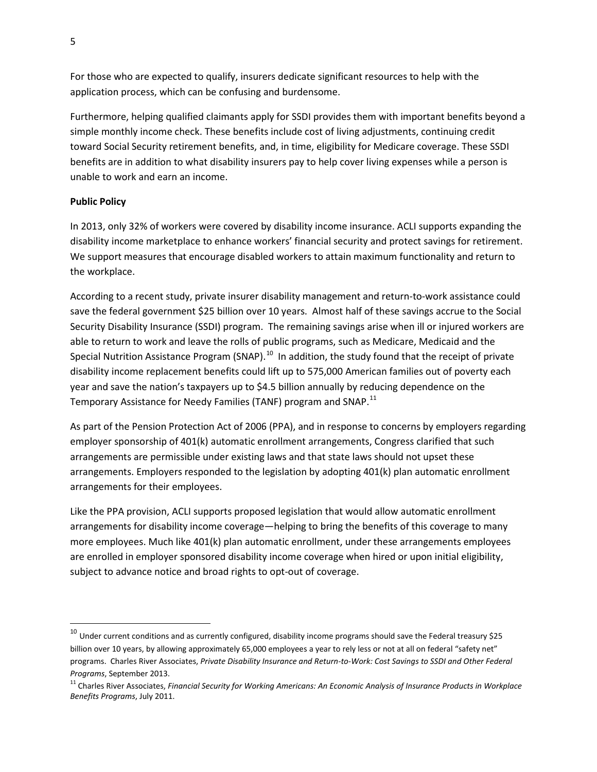For those who are expected to qualify, insurers dedicate significant resources to help with the application process, which can be confusing and burdensome.

Furthermore, helping qualified claimants apply for SSDI provides them with important benefits beyond a simple monthly income check. These benefits include cost of living adjustments, continuing credit toward Social Security retirement benefits, and, in time, eligibility for Medicare coverage. These SSDI benefits are in addition to what disability insurers pay to help cover living expenses while a person is unable to work and earn an income.

## **Public Policy**

In 2013, only 32% of workers were covered by disability income insurance. ACLI supports expanding the disability income marketplace to enhance workers' financial security and protect savings for retirement. We support measures that encourage disabled workers to attain maximum functionality and return to the workplace.

According to a recent study, private insurer disability management and return-to-work assistance could save the federal government \$25 billion over 10 years. Almost half of these savings accrue to the Social Security Disability Insurance (SSDI) program. The remaining savings arise when ill or injured workers are able to return to work and leave the rolls of public programs, such as Medicare, Medicaid and the Special Nutrition Assistance Program (SNAP).<sup>[10](#page-4-0)</sup> In addition, the study found that the receipt of private disability income replacement benefits could lift up to 575,000 American families out of poverty each year and save the nation's taxpayers up to \$4.5 billion annually by reducing dependence on the Temporary Assistance for Needy Families (TANF) program and SNAP.<sup>[11](#page-4-1)</sup>

As part of the Pension Protection Act of 2006 (PPA), and in response to concerns by employers regarding employer sponsorship of 401(k) automatic enrollment arrangements, Congress clarified that such arrangements are permissible under existing laws and that state laws should not upset these arrangements. Employers responded to the legislation by adopting 401(k) plan automatic enrollment arrangements for their employees.

Like the PPA provision, ACLI supports proposed legislation that would allow automatic enrollment arrangements for disability income coverage—helping to bring the benefits of this coverage to many more employees. Much like 401(k) plan automatic enrollment, under these arrangements employees are enrolled in employer sponsored disability income coverage when hired or upon initial eligibility, subject to advance notice and broad rights to opt-out of coverage.

<span id="page-4-0"></span> $^{10}$  Under current conditions and as currently configured, disability income programs should save the Federal treasury \$25 billion over 10 years, by allowing approximately 65,000 employees a year to rely less or not at all on federal "safety net" programs. Charles River Associates, *Private Disability Insurance and Return-to-Work: Cost Savings to SSDI and Other Federal* 

<span id="page-4-1"></span>*Programs, September 2013.*<br><sup>11</sup> Charles River Associates, *Financial Security for Working Americans: An Economic Analysis of Insurance Products in Workplace Benefits Programs*, July 2011.